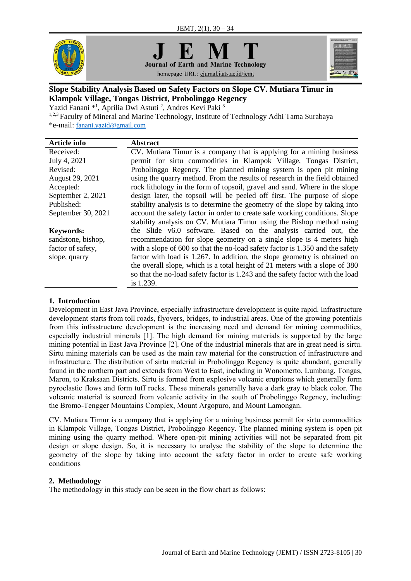





# homepage URL: ejurnal.itats.ac.id/jemt

# **Slope Stability Analysis Based on Safety Factors on Slope CV. Mutiara Timur in Klampok Village, Tongas District, Probolinggo Regency**

Yazid Fanani \*<sup>1</sup>, Aprilia Dwi Astuti<sup>2</sup>, Andres Kevi Paki<sup>3</sup>

1,2,3 Faculty of Mineral and Marine Technology, Institute of Technology Adhi Tama Surabaya \*e-mail: [fanani.yazid@gmail.com](mailto:fanani.yazid@gmail.com)

| <b>Article info</b> | <b>Abstract</b>                                                                |
|---------------------|--------------------------------------------------------------------------------|
| Received:           | CV. Mutiara Timur is a company that is applying for a mining business          |
| July 4, 2021        | permit for sirtu commodities in Klampok Village, Tongas District,              |
| Revised:            | Probolinggo Regency. The planned mining system is open pit mining              |
| August 29, 2021     | using the quarry method. From the results of research in the field obtained    |
| Accepted:           | rock lithology in the form of topsoil, gravel and sand. Where in the slope     |
| September 2, 2021   | design later, the topsoil will be peeled off first. The purpose of slope       |
| Published:          | stability analysis is to determine the geometry of the slope by taking into    |
| September 30, 2021  | account the safety factor in order to create safe working conditions. Slope    |
|                     | stability analysis on CV. Mutiara Timur using the Bishop method using          |
| <b>Keywords:</b>    | the Slide v6.0 software. Based on the analysis carried out, the                |
| sandstone, bishop,  | recommendation for slope geometry on a single slope is 4 meters high           |
| factor of safety,   | with a slope of 600 so that the no-load safety factor is 1.350 and the safety  |
| slope, quarry       | factor with load is 1.267. In addition, the slope geometry is obtained on      |
|                     | the overall slope, which is a total height of 21 meters with a slope of 380    |
|                     | so that the no-load safety factor is 1.243 and the safety factor with the load |
|                     | is 1.239.                                                                      |
|                     |                                                                                |

# **1. Introduction**

Development in East Java Province, especially infrastructure development is quite rapid. Infrastructure development starts from toll roads, flyovers, bridges, to industrial areas. One of the growing potentials from this infrastructure development is the increasing need and demand for mining commodities, especially industrial minerals [1]. The high demand for mining materials is supported by the large mining potential in East Java Province [2]. One of the industrial minerals that are in great need is sirtu. Sirtu mining materials can be used as the main raw material for the construction of infrastructure and infrastructure. The distribution of sirtu material in Probolinggo Regency is quite abundant, generally found in the northern part and extends from West to East, including in Wonomerto, Lumbang, Tongas, Maron, to Kraksaan Districts. Sirtu is formed from explosive volcanic eruptions which generally form pyroclastic flows and form tuff rocks. These minerals generally have a dark gray to black color. The volcanic material is sourced from volcanic activity in the south of Probolinggo Regency, including: the Bromo-Tengger Mountains Complex, Mount Argopuro, and Mount Lamongan.

CV. Mutiara Timur is a company that is applying for a mining business permit for sirtu commodities in Klampok Village, Tongas District, Probolinggo Regency. The planned mining system is open pit mining using the quarry method. Where open-pit mining activities will not be separated from pit design or slope design. So, it is necessary to analyse the stability of the slope to determine the geometry of the slope by taking into account the safety factor in order to create safe working conditions

# **2. Methodology**

The methodology in this study can be seen in the flow chart as follows: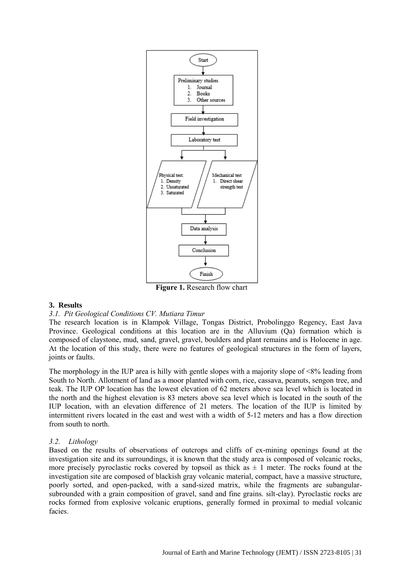

#### **3. Results**

#### *3.1. Pit Geological Conditions CV. Mutiara Timur*

The research location is in Klampok Village, Tongas District, Probolinggo Regency, East Java Province. Geological conditions at this location are in the Alluvium (Qa) formation which is composed of claystone, mud, sand, gravel, gravel, boulders and plant remains and is Holocene in age. At the location of this study, there were no features of geological structures in the form of layers, joints or faults.

The morphology in the IUP area is hilly with gentle slopes with a majority slope of <8% leading from South to North. Allotment of land as a moor planted with corn, rice, cassava, peanuts, sengon tree, and teak. The IUP OP location has the lowest elevation of 62 meters above sea level which is located in the north and the highest elevation is 83 meters above sea level which is located in the south of the IUP location, with an elevation difference of 21 meters. The location of the IUP is limited by intermittent rivers located in the east and west with a width of 5-12 meters and has a flow direction from south to north.

#### *3.2. Lithology*

Based on the results of observations of outcrops and cliffs of ex-mining openings found at the investigation site and its surroundings, it is known that the study area is composed of volcanic rocks, more precisely pyroclastic rocks covered by topsoil as thick as  $\pm 1$  meter. The rocks found at the investigation site are composed of blackish gray volcanic material, compact, have a massive structure, poorly sorted, and open-packed, with a sand-sized matrix, while the fragments are subangularsubrounded with a grain composition of gravel, sand and fine grains. silt-clay). Pyroclastic rocks are rocks formed from explosive volcanic eruptions, generally formed in proximal to medial volcanic facies.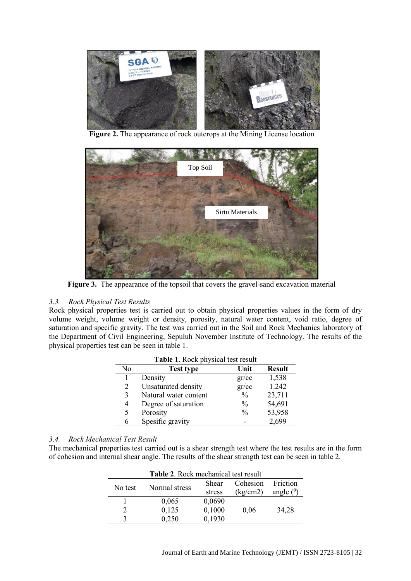

**Figure 2.** The appearance of rock outcrops at the Mining License location



Figure 3. The appearance of the topsoil that covers the gravel-sand excavation material

# *3.3. Rock Physical Test Results*

Rock physical properties test is carried out to obtain physical properties values in the form of dry volume weight, volume weight or density, porosity, natural water content, void ratio, degree of saturation and specific gravity. The test was carried out in the Soil and Rock Mechanics laboratory of the Department of Civil Engineering, Sepuluh November Institute of Technology. The results of the physical properties test can be seen in table 1.

| No | Test type             | Unit          | <b>Result</b> |
|----|-----------------------|---------------|---------------|
|    | Density               | gr/cc         | 1,538         |
| 2  | Unsaturated density   | gr/cc         | 1.242         |
| 3  | Natural water content | $\frac{0}{0}$ | 23,711        |
| 4  | Degree of saturation  | $\frac{0}{0}$ | 54,691        |
| 5  | Porosity              | $\frac{0}{0}$ | 53,958        |
| 6  | Spesific gravity      |               | 2,699         |

## *3.4. Rock Mechanical Test Result*

The mechanical properties test carried out is a shear strength test where the test results are in the form of cohesion and internal shear angle. The results of the shear strength test can be seen in table 2.

| Table 2. Rock mechanical test result |               |        |          |             |  |
|--------------------------------------|---------------|--------|----------|-------------|--|
| No test                              | Normal stress | Shear  | Cohesion | Friction    |  |
|                                      |               | stress | (kg/cm2) | angle $(0)$ |  |
|                                      | 0,065         | 0,0690 |          |             |  |
| $\mathfrak{D}$                       | 0,125         | 0,1000 | 0,06     | 34,28       |  |
| 3                                    | 0,250         | 0,1930 |          |             |  |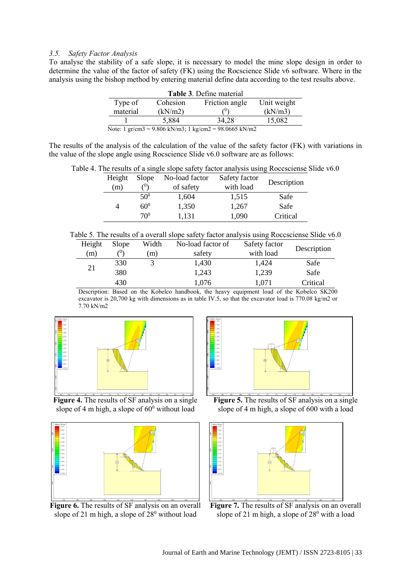#### *3.5. Safety Factor Analysis*

To analyse the stability of a safe slope, it is necessary to model the mine slope design in order to determine the value of the factor of safety (FK) using the Rocscience Slide v6 software. Where in the analysis using the bishop method by entering material define data according to the test results above.

| Table 3. Define material                                                                    |          |                |             |  |
|---------------------------------------------------------------------------------------------|----------|----------------|-------------|--|
| Type of                                                                                     | Cohesion | Friction angle | Unit weight |  |
| material                                                                                    | (kN/m2)  |                | (kN/m3)     |  |
|                                                                                             | 5,884    | 34.28          | 15,082      |  |
| Note: $1 \text{ gr/cm}3 = 9.806 \text{ kN/m}3$ ; $1 \text{ kg/cm}2 = 98.0665 \text{ kN/m}2$ |          |                |             |  |

The results of the analysis of the calculation of the value of the safety factor (FK) with variations in the value of the slope angle using Rocscience Slide v6.0 software are as follows:

|  |  |  | Table 4. The results of a single slope safety factor analysis using Roccsciense Slide v6.0 |
|--|--|--|--------------------------------------------------------------------------------------------|
|  |  |  |                                                                                            |

| Height | Slope           | No-load factor | Safety factor |             |
|--------|-----------------|----------------|---------------|-------------|
| (m)    | $\ell^0$        | of safety      | with load     | Description |
|        | $50^{0}$        | 1,604          | 1,515         | Safe        |
| 4      | $60^0$          | 1,350          | 1,267         | Safe        |
|        | 70 <sup>0</sup> | 1.131          | 1,090         | Critical    |

Table 5. The results of a overall slope safety factor analysis using Roccsciense Slide v6.0

| Height | <b>Slope</b> | Width | No-load factor of | Safety factor | Description |
|--------|--------------|-------|-------------------|---------------|-------------|
| (m)    | (0)          | (m)   | safety            | with load     |             |
| 21     | 330          |       | 1,430             | 1,424         | Safe        |
|        | 380          |       | 1,243             | 1,239         | Safe        |
|        | 430          |       | 1,076             | 1,071         | Critical    |

Description: Based on the Kobelco handbook, the heavy equipment load of the Kobelco SK200 excavator is 20,700 kg with dimensions as in table IV.5, so that the excavator load is 770.08 kg/m2 or 7.70 kN/m2



**Figure 4.** The results of SF analysis on a single slope of 4 m high, a slope of  $60^{\circ}$  without load



Figure 6. The results of SF analysis on an overall slope of 21 m high, a slope of  $28^{\circ}$  without load



**Figure 5.** The results of SF analysis on a single slope of 4 m high, a slope of 600 with a load



**Figure 7.** The results of SF analysis on an overall slope of 21 m high, a slope of  $28<sup>0</sup>$  with a load